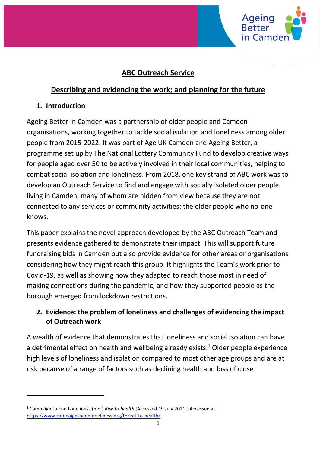

# **ABC Outreach Service**

# **Describing and evidencing the work; and planning for the future**

### **1. Introduction**

Ageing Better in Camden was a partnership of older people and Camden organisations, working together to tackle social isolation and loneliness among older people from 2015-2022. It was part of Age UK Camden and Ageing Better, a programme set up by The National Lottery Community Fund to develop creative ways for people aged over 50 to be actively involved in their local communities, helping to combat social isolation and loneliness. From 2018, one key strand of ABC work was to develop an Outreach Service to find and engage with socially isolated older people living in Camden, many of whom are hidden from view because they are not connected to any services or community activities: the older people who no-one knows.

This paper explains the novel approach developed by the ABC Outreach Team and presents evidence gathered to demonstrate their impact. This will support future fundraising bids in Camden but also provide evidence for other areas or organisations considering how they might reach this group. It highlights the Team's work prior to Covid-19, as well as showing how they adapted to reach those most in need of making connections during the pandemic, and how they supported people as the borough emerged from lockdown restrictions.

## **2. Evidence: the problem of loneliness and challenges of evidencing the impact of Outreach work**

A wealth of evidence that demonstrates that loneliness and social isolation can have a detrimental effect on health and wellbeing already exists.<sup>1</sup> Older people experience high levels of loneliness and isolation compared to most other age groups and are at risk because of a range of factors such as declining health and loss of close

<sup>1</sup> Campaign to End Loneliness (n.d.) *Risk to health* [Accessed 19 July 2021]. Accessed at <https://www.campaigntoendloneliness.org/threat-to-health/>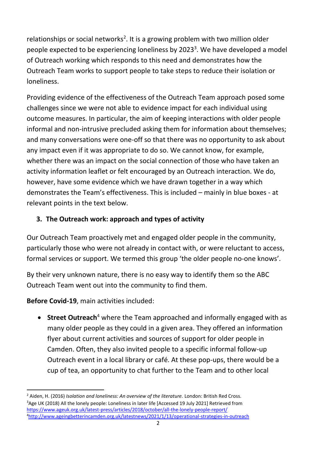relationships or social networks<sup>2</sup>. It is a growing problem with two million older people expected to be experiencing loneliness by 2023<sup>3</sup>. We have developed a model of Outreach working which responds to this need and demonstrates how the Outreach Team works to support people to take steps to reduce their isolation or loneliness.

Providing evidence of the effectiveness of the Outreach Team approach posed some challenges since we were not able to evidence impact for each individual using outcome measures. In particular, the aim of keeping interactions with older people informal and non-intrusive precluded asking them for information about themselves; and many conversations were one-off so that there was no opportunity to ask about any impact even if it was appropriate to do so. We cannot know, for example, whether there was an impact on the social connection of those who have taken an activity information leaflet or felt encouraged by an Outreach interaction. We do, however, have some evidence which we have drawn together in a way which demonstrates the Team's effectiveness. This is included – mainly in blue boxes - at relevant points in the text below.

# **3. The Outreach work: approach and types of activity**

Our Outreach Team proactively met and engaged older people in the community, particularly those who were not already in contact with, or were reluctant to access, formal services or support. We termed this group 'the older people no-one knows'.

By their very unknown nature, there is no easy way to identify them so the ABC Outreach Team went out into the community to find them.

**Before Covid-19**, main activities included:

• **Street Outreach**<sup>4</sup> where the Team approached and informally engaged with as many older people as they could in a given area. They offered an information flyer about current activities and sources of support for older people in Camden. Often, they also invited people to a specific informal follow-up Outreach event in a local library or café. At these pop-ups, there would be a cup of tea, an opportunity to chat further to the Team and to other local

<sup>&</sup>lt;sup>2</sup> Aiden, H. (2016) *Isolation and loneliness: An overview of the literature*. London: British Red Cross. <sup>3</sup>Age UK (2018) All the lonely people: Loneliness in later life [Accessed 19 July 2021] Retrieved from <https://www.ageuk.org.uk/latest-press/articles/2018/october/all-the-lonely-people-report/> 4<http://www.ageingbetterincamden.org.uk/latestnews/2021/1/13/operational-strategies-in-outreach>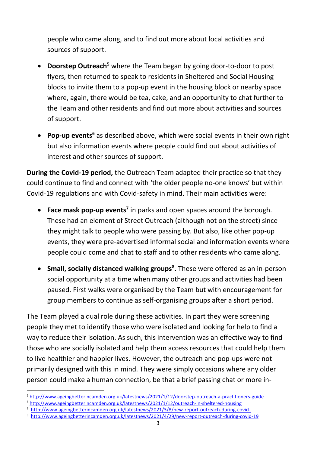people who came along, and to find out more about local activities and sources of support.

- **Doorstep Outreach<sup>5</sup>** where the Team began by going door-to-door to post flyers, then returned to speak to residents in Sheltered and Social Housing blocks to invite them to a pop-up event in the housing block or nearby space where, again, there would be tea, cake, and an opportunity to chat further to the Team and other residents and find out more about activities and sources of support.
- **Pop-up events<sup>6</sup>** as described above, which were social events in their own right but also information events where people could find out about activities of interest and other sources of support.

**During the Covid-19 period,** the Outreach Team adapted their practice so that they could continue to find and connect with 'the older people no-one knows' but within Covid-19 regulations and with Covid-safety in mind. Their main activities were:

- **Face mask pop-up events<sup>7</sup>** in parks and open spaces around the borough. These had an element of Street Outreach (although not on the street) since they might talk to people who were passing by. But also, like other pop-up events, they were pre-advertised informal social and information events where people could come and chat to staff and to other residents who came along.
- **Small, socially distanced walking groups<sup>8</sup> .** These were offered as an in-person social opportunity at a time when many other groups and activities had been paused. First walks were organised by the Team but with encouragement for group members to continue as self-organising groups after a short period.

The Team played a dual role during these activities. In part they were screening people they met to identify those who were isolated and looking for help to find a way to reduce their isolation. As such, this intervention was an effective way to find those who are socially isolated and help them access resources that could help them to live healthier and happier lives. However, the outreach and pop-ups were not primarily designed with this in mind. They were simply occasions where any older person could make a human connection, be that a brief passing chat or more in-

<sup>5</sup> <http://www.ageingbetterincamden.org.uk/latestnews/2021/1/12/doorstep-outreach-a-practitioners-guide>

<sup>6</sup> <http://www.ageingbetterincamden.org.uk/latestnews/2021/1/12/outreach-in-sheltered-housing>

<sup>&</sup>lt;sup>7</sup><http://www.ageingbetterincamden.org.uk/latestnews/2021/3/8/new-report-outreach-during-covid->

<sup>8</sup> <http://www.ageingbetterincamden.org.uk/latestnews/2021/4/29/new-report-outreach-during-covid-19>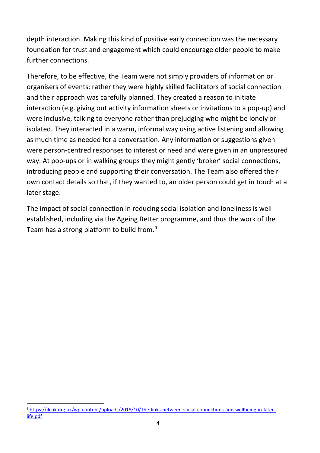depth interaction. Making this kind of positive early connection was the necessary foundation for trust and engagement which could encourage older people to make further connections.

Therefore, to be effective, the Team were not simply providers of information or organisers of events: rather they were highly skilled facilitators of social connection and their approach was carefully planned. They created a reason to initiate interaction (e.g. giving out activity information sheets or invitations to a pop-up) and were inclusive, talking to everyone rather than prejudging who might be lonely or isolated. They interacted in a warm, informal way using active listening and allowing as much time as needed for a conversation. Any information or suggestions given were person-centred responses to interest or need and were given in an unpressured way. At pop-ups or in walking groups they might gently 'broker' social connections, introducing people and supporting their conversation. The Team also offered their own contact details so that, if they wanted to, an older person could get in touch at a later stage.

The impact of social connection in reducing social isolation and loneliness is well established, including via the Ageing Better programme, and thus the work of the Team has a strong platform to build from.<sup>9</sup>

<sup>9</sup> [https://ilcuk.org.uk/wp-content/uploads/2018/10/The-links-between-social-connections-and-wellbeing-in-later](https://ilcuk.org.uk/wp-content/uploads/2018/10/The-links-between-social-connections-and-wellbeing-in-later-life.pdf)[life.pdf](https://ilcuk.org.uk/wp-content/uploads/2018/10/The-links-between-social-connections-and-wellbeing-in-later-life.pdf)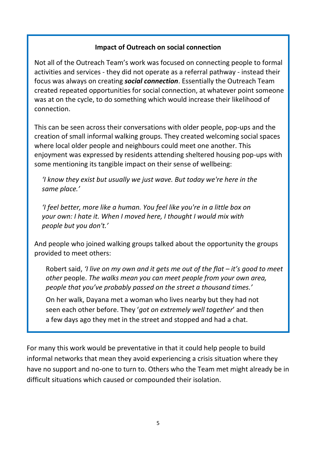### **Impact of Outreach on social connection**

Not all of the Outreach Team's work was focused on connecting people to formal activities and services - they did not operate as a referral pathway - instead their focus was always on creating *social connection*. Essentially the Outreach Team created repeated opportunities for social connection, at whatever point someone was at on the cycle, to do something which would increase their likelihood of connection.

This can be seen across their conversations with older people, pop-ups and the creation of small informal walking groups. They created welcoming social spaces where local older people and neighbours could meet one another. This enjoyment was expressed by residents attending sheltered housing pop-ups with some mentioning its tangible impact on their sense of wellbeing:

*'I know they exist but usually we just wave. But today we're here in the same place.'*

*'I feel better, more like a human. You feel like you're in a little box on your own: I hate it. When I moved here, I thought I would mix with people but you don't.'*

And people who joined walking groups talked about the opportunity the groups provided to meet others:

Robert said, *'I live on my own and it gets me out of the flat – it's good to meet other* people. *The walks mean you can meet people from your own area, people that you've probably passed on the street a thousand times.'* 

On her walk, Dayana met a woman who lives nearby but they had not seen each other before. They '*got on extremely well together*' and then a few days ago they met in the street and stopped and had a chat.

For many this work would be preventative in that it could help people to build informal networks that mean they avoid experiencing a crisis situation where they have no support and no-one to turn to. Others who the Team met might already be in difficult situations which caused or compounded their isolation.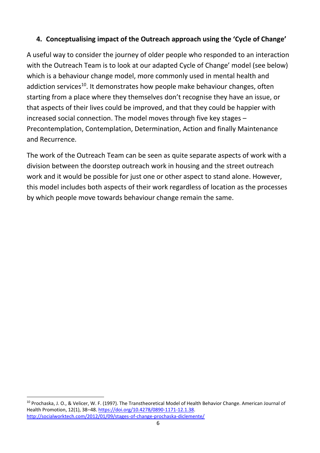# **4. Conceptualising impact of the Outreach approach using the 'Cycle of Change'**

A useful way to consider the journey of older people who responded to an interaction with the Outreach Team is to look at our adapted Cycle of Change' model (see below) which is a behaviour change model, more commonly used in mental health and addiction services<sup>10</sup>. It demonstrates how people make behaviour changes, often starting from a place where they themselves don't recognise they have an issue, or that aspects of their lives could be improved, and that they could be happier with increased social connection. The model moves through five key stages – Precontemplation, Contemplation, Determination, Action and finally Maintenance and Recurrence.

The work of the Outreach Team can be seen as quite separate aspects of work with a division between the doorstep outreach work in housing and the street outreach work and it would be possible for just one or other aspect to stand alone. However, this model includes both aspects of their work regardless of location as the processes by which people move towards behaviour change remain the same.

<sup>&</sup>lt;sup>10</sup> Prochaska, J. O., & Velicer, W. F. (1997). The Transtheoretical Model of Health Behavior Change. American Journal of Health Promotion, 12(1), 38–48. [https://doi.org/10.4278/0890-1171-12.1.38.](https://doi.org/10.4278/0890-1171-12.1.38) <http://socialworktech.com/2012/01/09/stages-of-change-prochaska-diclemente/>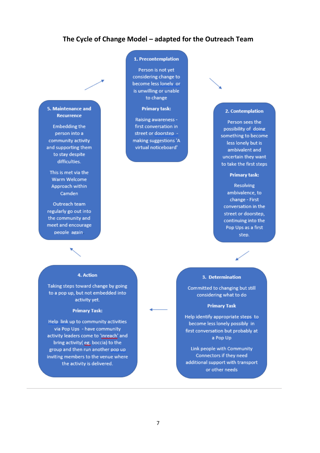### **The Cycle of Change Model – adapted for the Outreach Team**

#### 5. Maintenance and Recurrence

**Embedding the** person into a community activity and supporting them to stay despite difficulties.

This is met via the Warm Welcome Approach within Camden

Outreach team regularly go out into the community and meet and encourage people again.

#### 1. Precontemplation

Person is not vet considering change to become less lonely or is unwilling or unable to change

#### **Primary task:**

Raising awareness first conversation in street or doorstep making suggestions 'A virtual noticeboard'

### 2. Contemplation

Person sees the possibility of doing something to become less lonely but is ambivalent and uncertain they want to take the first steps

#### **Primary task:**

**Resolving** ambivalence, to change - First conversation in the street or doorstep, continuing into the Pop Ups as a first step.

#### 4. Action

Taking steps toward change by going to a pop up, but not embedded into activity yet.

#### **Primary Task:**

Help link up to community activities via Pop Ups - have community activity leaders come to 'inreach' and bring activity(eg, boccia) to the group and then run another pop up inviting members to the venue where the activity is delivered.

#### 3. Determination

Committed to changing but still considering what to do

#### **Primary Task**

Help identify appropriate steps to become less lonely possibly in first conversation but probably at a Pop Up

Link people with Community Connectors if they need additional support with transport or other needs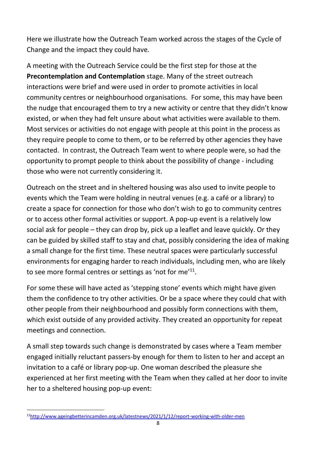Here we illustrate how the Outreach Team worked across the stages of the Cycle of Change and the impact they could have.

A meeting with the Outreach Service could be the first step for those at the **Precontemplation and Contemplation** stage. Many of the street outreach interactions were brief and were used in order to promote activities in local community centres or neighbourhood organisations. For some, this may have been the nudge that encouraged them to try a new activity or centre that they didn't know existed, or when they had felt unsure about what activities were available to them. Most services or activities do not engage with people at this point in the process as they require people to come to them, or to be referred by other agencies they have contacted. In contrast, the Outreach Team went to where people were, so had the opportunity to prompt people to think about the possibility of change - including those who were not currently considering it.

Outreach on the street and in sheltered housing was also used to invite people to events which the Team were holding in neutral venues (e.g. a café or a library) to create a space for connection for those who don't wish to go to community centres or to access other formal activities or support. A pop-up event is a relatively low social ask for people – they can drop by, pick up a leaflet and leave quickly. Or they can be guided by skilled staff to stay and chat, possibly considering the idea of making a small change for the first time. These neutral spaces were particularly successful environments for engaging harder to reach individuals, including men, who are likely to see more formal centres or settings as 'not for me'<sup>11</sup>.

For some these will have acted as 'stepping stone' events which might have given them the confidence to try other activities. Or be a space where they could chat with other people from their neighbourhood and possibly form connections with them, which exist outside of any provided activity. They created an opportunity for repeat meetings and connection.

A small step towards such change is demonstrated by cases where a Team member engaged initially reluctant passers-by enough for them to listen to her and accept an invitation to a café or library pop-up. One woman described the pleasure she experienced at her first meeting with the Team when they called at her door to invite her to a sheltered housing pop-up event:

<sup>11</sup><http://www.ageingbetterincamden.org.uk/latestnews/2021/1/12/report-working-with-older-men>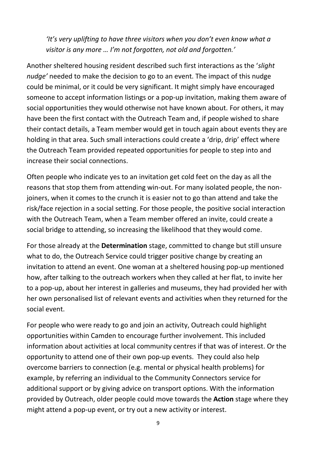*'It's very uplifting to have three visitors when you don't even know what a visitor is any more … I'm not forgotten, not old and forgotten.'* 

Another sheltered housing resident described such first interactions as the '*slight nudge'* needed to make the decision to go to an event. The impact of this nudge could be minimal, or it could be very significant. It might simply have encouraged someone to accept information listings or a pop-up invitation, making them aware of social opportunities they would otherwise not have known about. For others, it may have been the first contact with the Outreach Team and, if people wished to share their contact details, a Team member would get in touch again about events they are holding in that area. Such small interactions could create a 'drip, drip' effect where the Outreach Team provided repeated opportunities for people to step into and increase their social connections.

Often people who indicate yes to an invitation get cold feet on the day as all the reasons that stop them from attending win-out. For many isolated people, the nonjoiners, when it comes to the crunch it is easier not to go than attend and take the risk/face rejection in a social setting. For those people, the positive social interaction with the Outreach Team, when a Team member offered an invite, could create a social bridge to attending, so increasing the likelihood that they would come.

For those already at the **Determination** stage, committed to change but still unsure what to do, the Outreach Service could trigger positive change by creating an invitation to attend an event. One woman at a sheltered housing pop-up mentioned how, after talking to the outreach workers when they called at her flat, to invite her to a pop-up, about her interest in galleries and museums, they had provided her with her own personalised list of relevant events and activities when they returned for the social event.

For people who were ready to go and join an activity, Outreach could highlight opportunities within Camden to encourage further involvement. This included information about activities at local community centres if that was of interest. Or the opportunity to attend one of their own pop-up events. They could also help overcome barriers to connection (e.g. mental or physical health problems) for example, by referring an individual to the Community Connectors service for additional support or by giving advice on transport options. With the information provided by Outreach, older people could move towards the **Action** stage where they might attend a pop-up event, or try out a new activity or interest.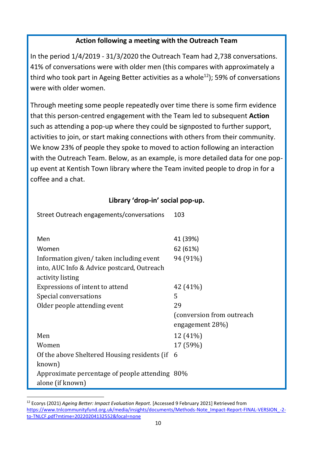### **Action following a meeting with the Outreach Team**

In the period 1/4/2019 - 31/3/2020 the Outreach Team had 2,738 conversations. 41% of conversations were with older men (this compares with approximately a third who took part in Ageing Better activities as a whole<sup>12</sup>); 59% of conversations were with older women.

Through meeting some people repeatedly over time there is some firm evidence that this person-centred engagement with the Team led to subsequent **Action**  such as attending a pop-up where they could be signposted to further support, activities to join, or start making connections with others from their community. We know 23% of people they spoke to moved to action following an interaction with the Outreach Team. Below, as an example, is more detailed data for one popup event at Kentish Town library where the Team invited people to drop in for a coffee and a chat.

### **Library 'drop-in' social pop-up.**

| Street Outreach engagements/conversations      | 103                       |
|------------------------------------------------|---------------------------|
|                                                |                           |
| Men                                            | 41 (39%)                  |
| Women                                          | 62 (61%)                  |
| Information given/taken including event        | 94 (91%)                  |
| into, AUC Info & Advice postcard, Outreach     |                           |
| activity listing                               |                           |
| Expressions of intent to attend                | 42 (41%)                  |
| Special conversations                          | 5                         |
| Older people attending event                   | 29                        |
|                                                | (conversion from outreach |
|                                                | engagement 28%)           |
| Men                                            | 12 (41%)                  |
| Women                                          | 17 (59%)                  |
| Of the above Sheltered Housing residents (if   | 6                         |
| known)                                         |                           |
| Approximate percentage of people attending 80% |                           |
| alone (if known)                               |                           |

<sup>12</sup> Ecorys (2021) *Ageing Better: Impact Evaluation Report.* [Accessed 9 February 2021] Retrieved from [https://www.tnlcommunityfund.org.uk/media/insights/documents/Methods-Note\\_Impact-Report-FINAL-VERSION\\_-2](https://www.tnlcommunityfund.org.uk/media/insights/documents/Methods-Note_Impact-Report-FINAL-VERSION_-2-to-TNLCF.pdf?mtime=20220204132552&focal=none) [to-TNLCF.pdf?mtime=20220204132552&focal=none](https://www.tnlcommunityfund.org.uk/media/insights/documents/Methods-Note_Impact-Report-FINAL-VERSION_-2-to-TNLCF.pdf?mtime=20220204132552&focal=none)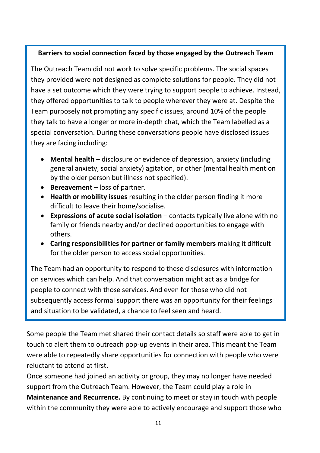### **Barriers to social connection faced by those engaged by the Outreach Team**

The Outreach Team did not work to solve specific problems. The social spaces they provided were not designed as complete solutions for people. They did not have a set outcome which they were trying to support people to achieve. Instead, they offered opportunities to talk to people wherever they were at. Despite the Team purposely not prompting any specific issues, around 10% of the people they talk to have a longer or more in-depth chat, which the Team labelled as a special conversation. During these conversations people have disclosed issues they are facing including:

- **Mental health** disclosure or evidence of depression, anxiety (including general anxiety, social anxiety) agitation, or other (mental health mention by the older person but illness not specified).
- **Bereavement** loss of partner.
- **Health or mobility issues** resulting in the older person finding it more difficult to leave their home/socialise.
- **Expressions of acute social isolation** contacts typically live alone with no family or friends nearby and/or declined opportunities to engage with others.
- **Caring responsibilities for partner or family members** making it difficult for the older person to access social opportunities.

The Team had an opportunity to respond to these disclosures with information on services which can help. And that conversation might act as a bridge for people to connect with those services. And even for those who did not subsequently access formal support there was an opportunity for their feelings and situation to be validated, a chance to feel seen and heard.

Some people the Team met shared their contact details so staff were able to get in touch to alert them to outreach pop-up events in their area. This meant the Team were able to repeatedly share opportunities for connection with people who were reluctant to attend at first.

Once someone had joined an activity or group, they may no longer have needed support from the Outreach Team. However, the Team could play a role in **Maintenance and Recurrence.** By continuing to meet or stay in touch with people within the community they were able to actively encourage and support those who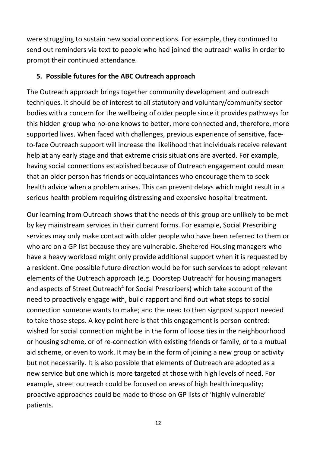were struggling to sustain new social connections. For example, they continued to send out reminders via text to people who had joined the outreach walks in order to prompt their continued attendance.

### **5. Possible futures for the ABC Outreach approach**

The Outreach approach brings together community development and outreach techniques. It should be of interest to all statutory and voluntary/community sector bodies with a concern for the wellbeing of older people since it provides pathways for this hidden group who no-one knows to better, more connected and, therefore, more supported lives. When faced with challenges, previous experience of sensitive, faceto-face Outreach support will increase the likelihood that individuals receive relevant help at any early stage and that extreme crisis situations are averted. For example, having social connections established because of Outreach engagement could mean that an older person has friends or acquaintances who encourage them to seek health advice when a problem arises. This can prevent delays which might result in a serious health problem requiring distressing and expensive hospital treatment.

Our learning from Outreach shows that the needs of this group are unlikely to be met by key mainstream services in their current forms. For example, Social Prescribing services may only make contact with older people who have been referred to them or who are on a GP list because they are vulnerable. Sheltered Housing managers who have a heavy workload might only provide additional support when it is requested by a resident. One possible future direction would be for such services to adopt relevant elements of the Outreach approach (e.g. Doorstep Outreach<sup>5</sup> for housing managers and aspects of Street Outreach<sup>4</sup> for Social Prescribers) which take account of the need to proactively engage with, build rapport and find out what steps to social connection someone wants to make; and the need to then signpost support needed to take those steps. A key point here is that this engagement is person-centred: wished for social connection might be in the form of loose ties in the neighbourhood or housing scheme, or of re-connection with existing friends or family, or to a mutual aid scheme, or even to work. It may be in the form of joining a new group or activity but not necessarily. It is also possible that elements of Outreach are adopted as a new service but one which is more targeted at those with high levels of need. For example, street outreach could be focused on areas of high health inequality; proactive approaches could be made to those on GP lists of 'highly vulnerable' patients.

12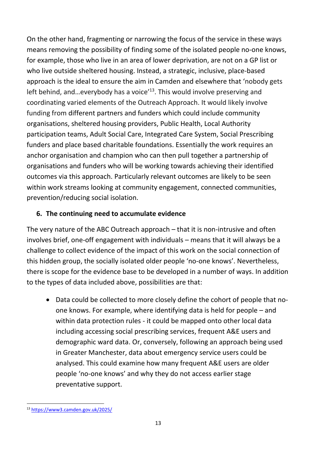On the other hand, fragmenting or narrowing the focus of the service in these ways means removing the possibility of finding some of the isolated people no-one knows, for example, those who live in an area of lower deprivation, are not on a GP list or who live outside sheltered housing. Instead, a strategic, inclusive, place-based approach is the ideal to ensure the aim in Camden and elsewhere that 'nobody gets left behind, and...everybody has a voice<sup>'13</sup>. This would involve preserving and coordinating varied elements of the Outreach Approach. It would likely involve funding from different partners and funders which could include community organisations, sheltered housing providers, Public Health, Local Authority participation teams, Adult Social Care, Integrated Care System, Social Prescribing funders and place based charitable foundations. Essentially the work requires an anchor organisation and champion who can then pull together a partnership of organisations and funders who will be working towards achieving their identified outcomes via this approach. Particularly relevant outcomes are likely to be seen within work streams looking at community engagement, connected communities, prevention/reducing social isolation.

## **6. The continuing need to accumulate evidence**

The very nature of the ABC Outreach approach – that it is non-intrusive and often involves brief, one-off engagement with individuals – means that it will always be a challenge to collect evidence of the impact of this work on the social connection of this hidden group, the socially isolated older people 'no-one knows'. Nevertheless, there is scope for the evidence base to be developed in a number of ways. In addition to the types of data included above, possibilities are that:

• Data could be collected to more closely define the cohort of people that noone knows. For example, where identifying data is held for people – and within data protection rules - it could be mapped onto other local data including accessing social prescribing services, frequent A&E users and demographic ward data. Or, conversely, following an approach being used in Greater Manchester, data about emergency service users could be analysed. This could examine how many frequent A&E users are older people 'no-one knows' and why they do not access earlier stage preventative support.

<sup>13</sup> <https://www3.camden.gov.uk/2025/>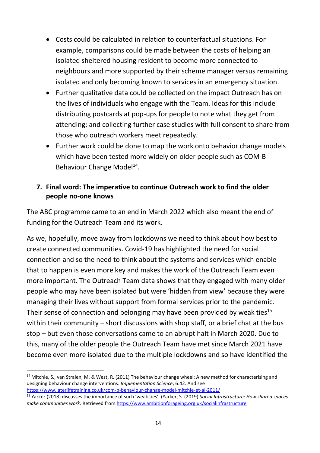- Costs could be calculated in relation to counterfactual situations. For example, comparisons could be made between the costs of helping an isolated sheltered housing resident to become more connected to neighbours and more supported by their scheme manager versus remaining isolated and only becoming known to services in an emergency situation.
- Further qualitative data could be collected on the impact Outreach has on the lives of individuals who engage with the Team. Ideas for this include distributing postcards at pop-ups for people to note what they get from attending; and collecting further case studies with full consent to share from those who outreach workers meet repeatedly.
- Further work could be done to map the work onto behavior change models which have been tested more widely on older people such as COM-B Behaviour Change Model<sup>14</sup>.

## **7. Final word: The imperative to continue Outreach work to find the older people no-one knows**

The ABC programme came to an end in March 2022 which also meant the end of funding for the Outreach Team and its work.

As we, hopefully, move away from lockdowns we need to think about how best to create connected communities. Covid-19 has highlighted the need for social connection and so the need to think about the systems and services which enable that to happen is even more key and makes the work of the Outreach Team even more important. The Outreach Team data shows that they engaged with many older people who may have been isolated but were 'hidden from view' because they were managing their lives without support from formal services prior to the pandemic. Their sense of connection and belonging may have been provided by weak ties<sup>15</sup> within their community – short discussions with shop staff, or a brief chat at the bus stop – but even those conversations came to an abrupt halt in March 2020. Due to this, many of the older people the Outreach Team have met since March 2021 have become even more isolated due to the multiple lockdowns and so have identified the

 $14$  Mitchie, S., van Stralen, M. & West, R. (2011) The behaviour change wheel: A new method for characterising and designing behaviour change interventions. *Implementation Science*, 6:42. And see [https://www.laterlifetraining.co.uk/com-b-behaviour-change-model-mitchie-et-al-2011/](https://gbr01.safelinks.protection.outlook.com/?url=https%3A%2F%2Fwww.laterlifetraining.co.uk%2Fcom-b-behaviour-change-model-mitchie-et-al-2011%2F&data=04%7C01%7CHelen.MacIntyre%40ageukcamden.org.uk%7C6b5dd66b4f0043a6ebec08d9b41483e0%7C1f5fd4a3a6474c719f36b3d611bc1c8f%7C0%7C0%7C637738822468248967%7CUnknown%7CTWFpbGZsb3d8eyJWIjoiMC4wLjAwMDAiLCJQIjoiV2luMzIiLCJBTiI6Ik1haWwiLCJXVCI6Mn0%3D%7C3000&sdata=DAOOanTu5HHAw33rv%2FnLZKz4jjNJ98FGDyWz0BC7LnQ%3D&reserved=0)

<sup>15</sup> Yarker (2018) discusses the importance of such 'weak ties'. (Yarker, S. (2019) *Social Infrastructure: How shared spaces make communities work.* Retrieved from<https://www.ambitionforageing.org.uk/socialinfrastructure>